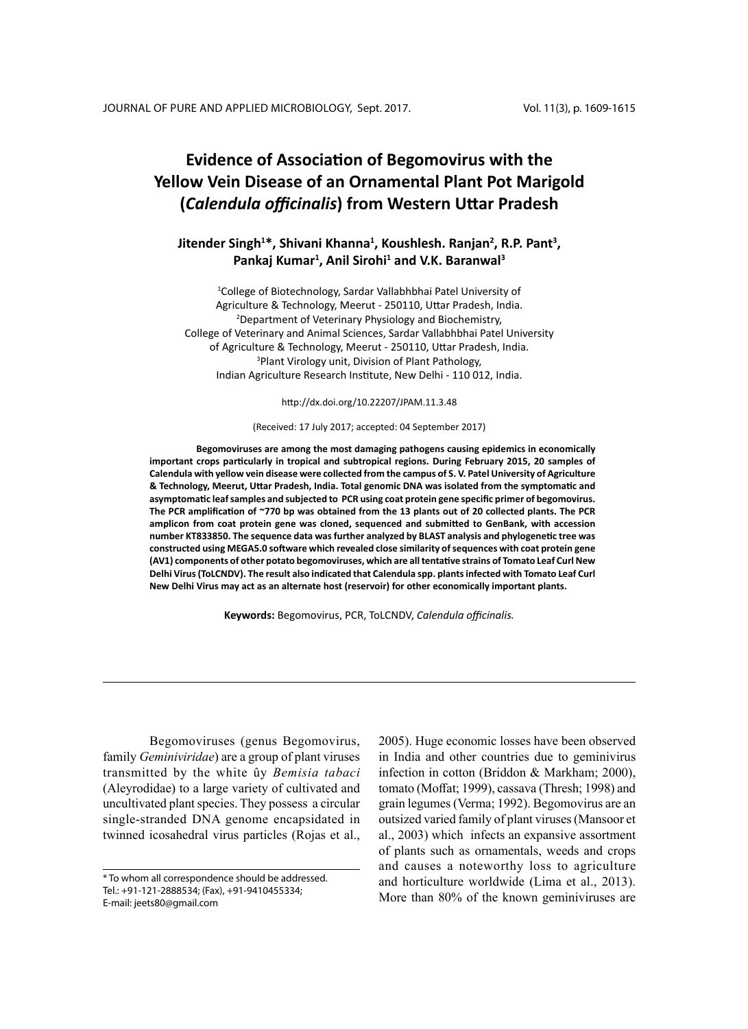# **Evidence of Association of Begomovirus with the Yellow Vein Disease of an Ornamental Plant Pot Marigold (***Calendula officinalis***) from Western Uttar Pradesh**

# **Jitender Singh<sup>1</sup> \*, Shivani Khanna<sup>1</sup> , Koushlesh. Ranjan<sup>2</sup> , R.P. Pant<sup>3</sup> , Pankaj Kumar<sup>1</sup> , Anil Sirohi<sup>1</sup> and V.K. Baranwal<sup>3</sup>**

<sup>1</sup>College of Biotechnology, Sardar Vallabhbhai Patel University of Agriculture & Technology, Meerut - 250110, Uttar Pradesh, India. 2 Department of Veterinary Physiology and Biochemistry, College of Veterinary and Animal Sciences, Sardar Vallabhbhai Patel University of Agriculture & Technology, Meerut - 250110, Uttar Pradesh, India. 3 Plant Virology unit, Division of Plant Pathology, Indian Agriculture Research Institute, New Delhi - 110 012, India.

http://dx.doi.org/10.22207/JPAM.11.3.48

### (Received: 17 July 2017; accepted: 04 September 2017)

**Begomoviruses are among the most damaging pathogens causing epidemics in economically important crops particularly in tropical and subtropical regions. During February 2015, 20 samples of Calendula with yellow vein disease were collected from the campus of S. V. Patel University of Agriculture & Technology, Meerut, Uttar Pradesh, India. Total genomic DNA was isolated from the symptomatic and asymptomatic leaf samples and subjected to PCR using coat protein gene specific primer of begomovirus. The PCR amplification of ~770 bp was obtained from the 13 plants out of 20 collected plants. The PCR amplicon from coat protein gene was cloned, sequenced and submitted to GenBank, with accession number KT833850. The sequence data was further analyzed by BLAST analysis and phylogenetic tree was constructed using MEGA5.0 software which revealed close similarity of sequences with coat protein gene (AV1) components of other potato begomoviruses, which are all tentative strains of Tomato Leaf Curl New Delhi Virus (ToLCNDV). The result also indicated that Calendula spp. plants infected with Tomato Leaf Curl New Delhi Virus may act as an alternate host (reservoir) for other economically important plants.**

**Keywords:** Begomovirus, PCR, ToLCNDV, *Calendula officinalis.*

Begomoviruses (genus Begomovirus, family *Geminiviridae*) are a group of plant viruses transmitted by the white ûy *Bemisia tabaci* (Aleyrodidae) to a large variety of cultivated and uncultivated plant species. They possess a circular single-stranded DNA genome encapsidated in twinned icosahedral virus particles (Rojas et al.,

2005). Huge economic losses have been observed in India and other countries due to geminivirus infection in cotton (Briddon & Markham; 2000), tomato (Moffat; 1999), cassava (Thresh; 1998) and grain legumes (Verma; 1992). Begomovirus are an outsized varied family of plant viruses (Mansoor et al., 2003) which infects an expansive assortment of plants such as ornamentals, weeds and crops and causes a noteworthy loss to agriculture and horticulture worldwide (Lima et al., 2013). More than 80% of the known geminiviruses are

<sup>\*</sup> To whom all correspondence should be addressed. Tel.: +91-121-2888534; (Fax), +91-9410455334; E-mail: jeets80@gmail.com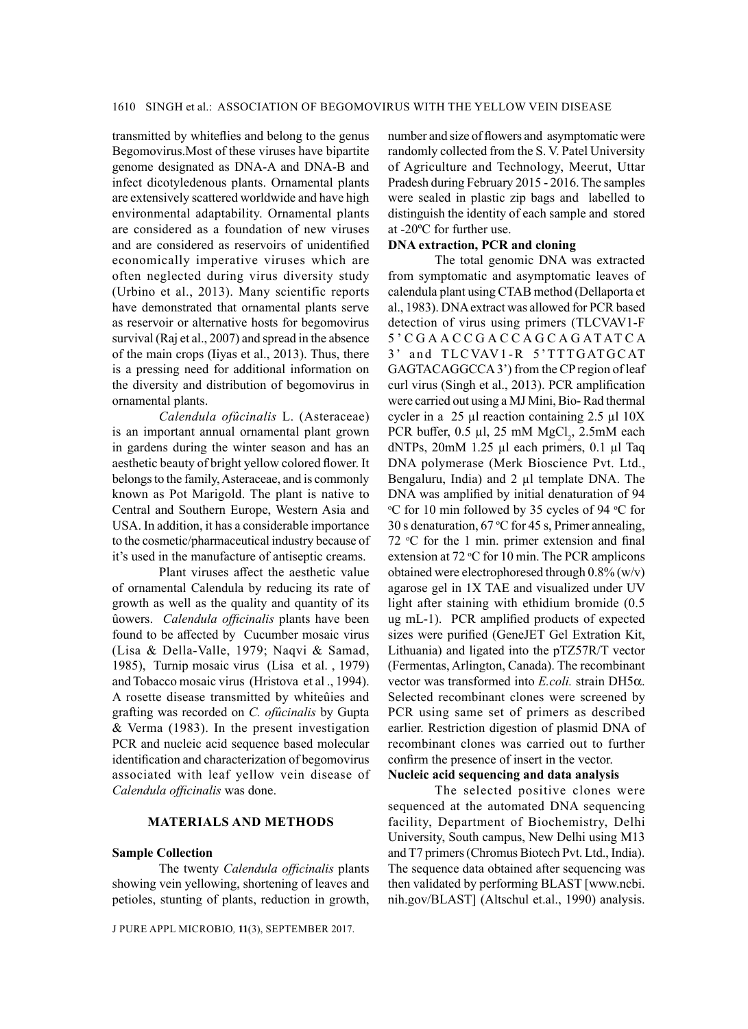transmitted by whiteflies and belong to the genus Begomovirus.Most of these viruses have bipartite genome designated as DNA-A and DNA-B and infect dicotyledenous plants. Ornamental plants are extensively scattered worldwide and have high environmental adaptability. Ornamental plants are considered as a foundation of new viruses and are considered as reservoirs of unidentified economically imperative viruses which are often neglected during virus diversity study (Urbino et al., 2013). Many scientific reports have demonstrated that ornamental plants serve as reservoir or alternative hosts for begomovirus survival (Raj et al., 2007) and spread in the absence of the main crops (Iiyas et al., 2013). Thus, there is a pressing need for additional information on the diversity and distribution of begomovirus in ornamental plants.

*Calendula ofûcinalis* L. (Asteraceae) is an important annual ornamental plant grown in gardens during the winter season and has an aesthetic beauty of bright yellow colored flower. It belongs to the family, Asteraceae, and is commonly known as Pot Marigold. The plant is native to Central and Southern Europe, Western Asia and USA. In addition, it has a considerable importance to the cosmetic/pharmaceutical industry because of it's used in the manufacture of antiseptic creams.

Plant viruses affect the aesthetic value of ornamental Calendula by reducing its rate of growth as well as the quality and quantity of its ûowers. *Calendula officinalis* plants have been found to be affected by Cucumber mosaic virus (Lisa & Della-Valle, 1979; Naqvi & Samad, 1985), Turnip mosaic virus (Lisa et al. , 1979) and Tobacco mosaic virus (Hristova et al ., 1994). A rosette disease transmitted by whiteûies and grafting was recorded on *C. ofûcinalis* by Gupta & Verma (1983). In the present investigation PCR and nucleic acid sequence based molecular identification and characterization of begomovirus associated with leaf yellow vein disease of *Calendula officinalis* was done.

# **Materials and Methods**

#### **Sample Collection**

The twenty *Calendula officinalis* plants showing vein yellowing, shortening of leaves and petioles, stunting of plants, reduction in growth,

J PURE APPL MICROBIO*,* **11**(3), September 2017.

number and size of flowers and asymptomatic were randomly collected from the S. V. Patel University of Agriculture and Technology, Meerut, Uttar Pradesh during February 2015 - 2016. The samples were sealed in plastic zip bags and labelled to distinguish the identity of each sample and stored at -20ºC for further use.

# **DNA extraction, PCR and cloning**

The total genomic DNA was extracted from symptomatic and asymptomatic leaves of calendula plant using CTAB method (Dellaporta et al., 1983). DNA extract was allowed for PCR based detection of virus using primers (TLCVAV1-F 5 ' C G A A C C G A C C A G C A G AT AT C A 3' and TLCVAV1-R 5'TTTGATGCAT GAGTACAGGCCA 3') from the CP region of leaf curl virus (Singh et al., 2013). PCR amplification were carried out using a MJ Mini, Bio- Rad thermal cycler in a 25 µl reaction containing 2.5 µl 10X PCR buffer,  $0.5 \mu l$ ,  $25 \mu M \text{ MgCl}_2$ ,  $2.5 \mu M$  each dNTPs, 20mM 1.25 µl each primers, 0.1 µl Taq DNA polymerase (Merk Bioscience Pvt. Ltd., Bengaluru, India) and 2 µl template DNA. The DNA was amplified by initial denaturation of 94 <sup>o</sup>C for 10 min followed by 35 cycles of 94 <sup>o</sup>C for 30 s denaturation,  $67 \text{ °C}$  for 45 s, Primer annealing,  $72 °C$  for the 1 min. primer extension and final extension at  $72 °C$  for 10 min. The PCR amplicons obtained were electrophoresed through 0.8% (w/v) agarose gel in 1X TAE and visualized under UV light after staining with ethidium bromide (0.5 ug mL-1). PCR amplified products of expected sizes were purified (GeneJET Gel Extration Kit, Lithuania) and ligated into the pTZ57R/T vector (Fermentas, Arlington, Canada). The recombinant vector was transformed into *E.coli.* strain DH5a. Selected recombinant clones were screened by PCR using same set of primers as described earlier. Restriction digestion of plasmid DNA of recombinant clones was carried out to further confirm the presence of insert in the vector. **Nucleic acid sequencing and data analysis**

The selected positive clones were sequenced at the automated DNA sequencing facility, Department of Biochemistry, Delhi University, South campus, New Delhi using M13 and T7 primers (Chromus Biotech Pvt. Ltd., India). The sequence data obtained after sequencing was then validated by performing BLAST [www.ncbi. nih.gov/BLAST] (Altschul et.al., 1990) analysis.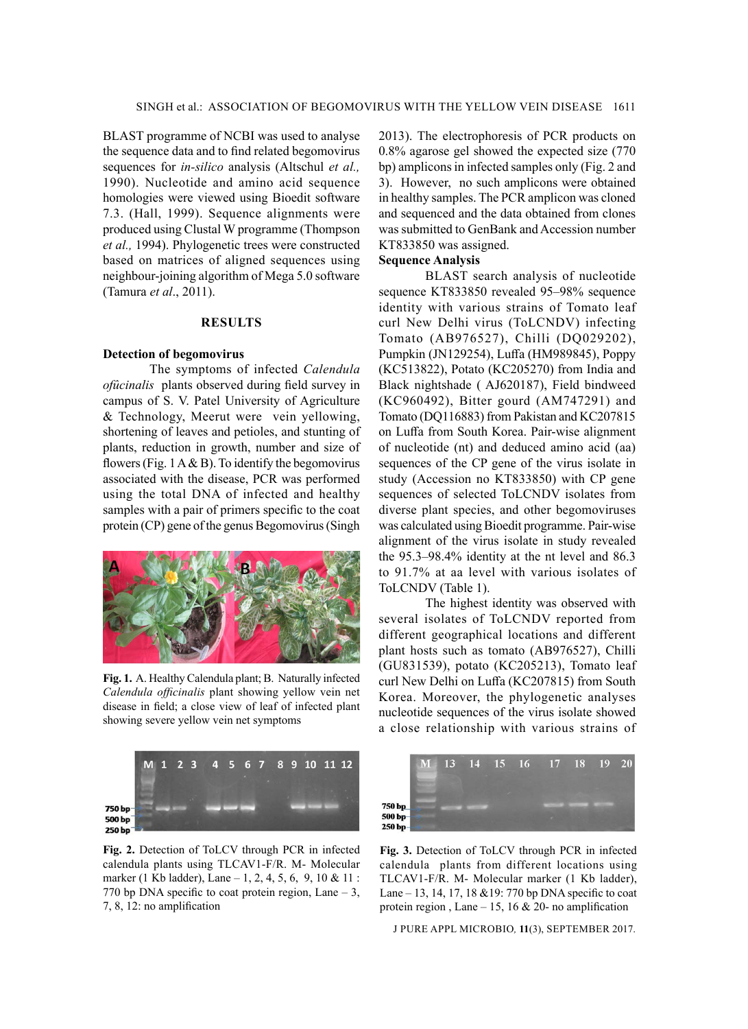BLAST programme of NCBI was used to analyse the sequence data and to find related begomovirus sequences for *in-silico* analysis (Altschul *et al.,* 1990). Nucleotide and amino acid sequence homologies were viewed using Bioedit software 7.3. (Hall, 1999). Sequence alignments were produced using Clustal W programme (Thompson *et al.,* 1994). Phylogenetic trees were constructed based on matrices of aligned sequences using neighbour-joining algorithm of Mega 5.0 software (Tamura *et al*., 2011).

# **Results**

#### **Detection of begomovirus**

The symptoms of infected *Calendula ofûcinalis* plants observed during field survey in campus of S. V. Patel University of Agriculture & Technology, Meerut were vein yellowing, shortening of leaves and petioles, and stunting of plants, reduction in growth, number and size of flowers (Fig. 1 A & B). To identify the begomovirus associated with the disease, PCR was performed using the total DNA of infected and healthy samples with a pair of primers specific to the coat protein (CP) gene of the genus Begomovirus (Singh



**Fig. 1.** A. Healthy Calendula plant; B. Naturally infected *Calendula officinalis* plant showing yellow vein net disease in field; a close view of leaf of infected plant showing severe yellow vein net symptoms



**Fig. 2.** Detection of ToLCV through PCR in infected calendula plants using TLCAV1-F/R. M- Molecular marker (1 Kb ladder), Lane – 1, 2, 4, 5, 6, 9, 10 & 11 : 770 bp DNA specific to coat protein region, Lane – 3, 7, 8, 12: no amplification

2013). The electrophoresis of PCR products on 0.8% agarose gel showed the expected size (770 bp) amplicons in infected samples only (Fig. 2 and 3). However, no such amplicons were obtained in healthy samples. The PCR amplicon was cloned and sequenced and the data obtained from clones was submitted to GenBank and Accession number KT833850 was assigned.

# **Sequence Analysis**

BLAST search analysis of nucleotide sequence KT833850 revealed 95–98% sequence identity with various strains of Tomato leaf curl New Delhi virus (ToLCNDV) infecting Tomato (AB976527), Chilli (DQ029202), Pumpkin (JN129254), Luffa (HM989845), Poppy (KC513822), Potato (KC205270) from India and Black nightshade ( AJ620187), Field bindweed (KC960492), Bitter gourd (AM747291) and Tomato (DQ116883) from Pakistan and KC207815 on Luffa from South Korea. Pair-wise alignment of nucleotide (nt) and deduced amino acid (aa) sequences of the CP gene of the virus isolate in study (Accession no KT833850) with CP gene sequences of selected ToLCNDV isolates from diverse plant species, and other begomoviruses was calculated using Bioedit programme. Pair-wise alignment of the virus isolate in study revealed the 95.3–98.4% identity at the nt level and 86.3 to 91.7% at aa level with various isolates of ToLCNDV (Table 1).

The highest identity was observed with several isolates of ToLCNDV reported from different geographical locations and different plant hosts such as tomato (AB976527), Chilli (GU831539), potato (KC205213), Tomato leaf curl New Delhi on Luffa (KC207815) from South Korea. Moreover, the phylogenetic analyses nucleotide sequences of the virus isolate showed a close relationship with various strains of



**Fig. 3.** Detection of ToLCV through PCR in infected calendula plants from different locations using TLCAV1-F/R. M- Molecular marker (1 Kb ladder), Lane – 13, 14, 17, 18 &19: 770 bp DNA specific to coat protein region, Lane  $-15$ , 16 & 20- no amplification

J PURE APPL MICROBIO*,* **11**(3), September 2017.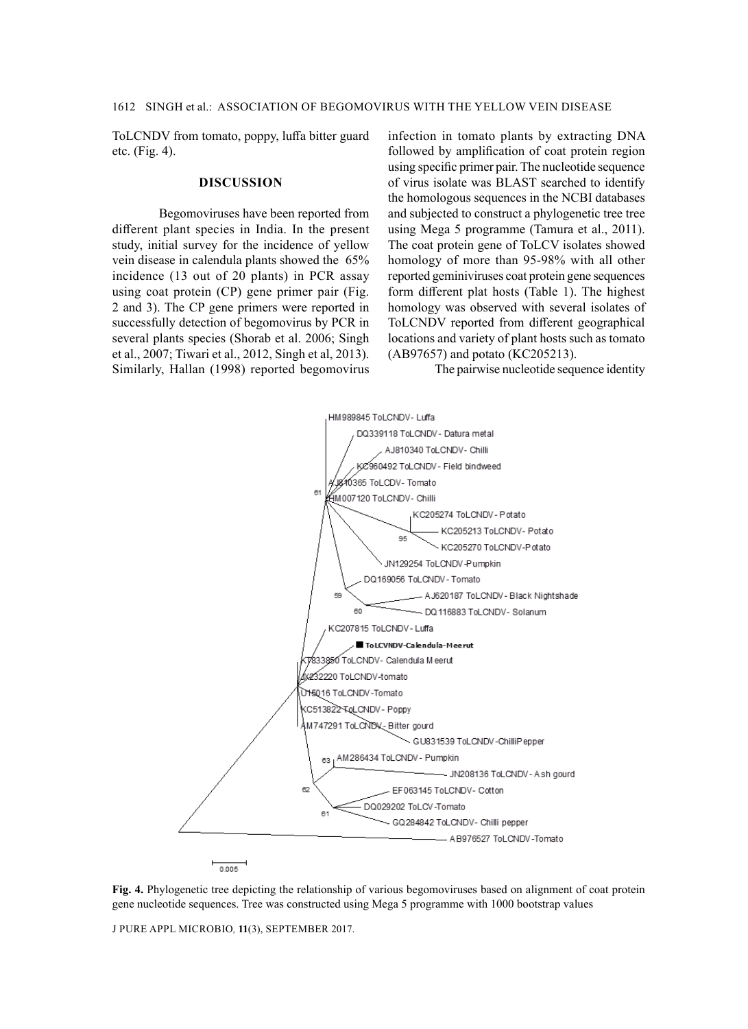ToLCNDV from tomato, poppy, luffa bitter guard etc. (Fig. 4).

### **Discussion**

Begomoviruses have been reported from different plant species in India. In the present study, initial survey for the incidence of yellow vein disease in calendula plants showed the 65% incidence (13 out of 20 plants) in PCR assay using coat protein (CP) gene primer pair (Fig. 2 and 3). The CP gene primers were reported in successfully detection of begomovirus by PCR in several plants species (Shorab et al. 2006; Singh et al., 2007; Tiwari et al., 2012, Singh et al, 2013). Similarly, Hallan (1998) reported begomovirus infection in tomato plants by extracting DNA followed by amplification of coat protein region using specific primer pair. The nucleotide sequence of virus isolate was BLAST searched to identify the homologous sequences in the NCBI databases and subjected to construct a phylogenetic tree tree using Mega 5 programme (Tamura et al., 2011). The coat protein gene of ToLCV isolates showed homology of more than 95-98% with all other reported geminiviruses coat protein gene sequences form different plat hosts (Table 1). The highest homology was observed with several isolates of ToLCNDV reported from different geographical locations and variety of plant hosts such as tomato (AB97657) and potato (KC205213).

The pairwise nucleotide sequence identity



**Fig. 4.** Phylogenetic tree depicting the relationship of various begomoviruses based on alignment of coat protein gene nucleotide sequences. Tree was constructed using Mega 5 programme with 1000 bootstrap values

J PURE APPL MICROBIO*,* **11**(3), September 2017.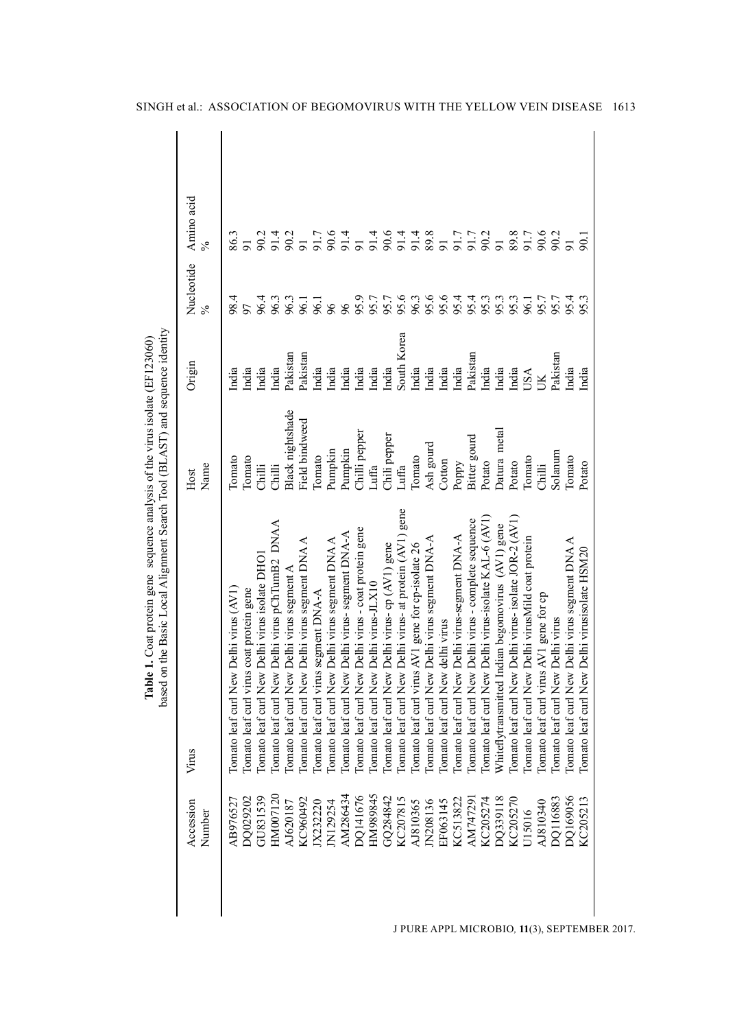| Accession<br>Number | Virus                                                      | Name<br>Host     | Origin         | Nucleotide<br>$\frac{5}{6}$ | Amino acid<br>$\%$                      |
|---------------------|------------------------------------------------------------|------------------|----------------|-----------------------------|-----------------------------------------|
| AB976527            | Tomato leaf curl New Delhi virus (AV1)                     | Iomato           | India          | 98.4                        | 86.3                                    |
|                     |                                                            |                  |                |                             |                                         |
| DQ029202            | Tomato leaf curl virus coat protein gene                   | Tomato           | India          |                             |                                         |
| GU831539            | Iomato leaf curl New Delhi virus isolate DHO               | Chilli           | India          | 96.4                        | 90.2                                    |
| HM007120            | <b>DNAA</b><br>Tomato leaf curl New Delhi virus pChTumB2   | Chilli           | India          | 96.3                        | 91.4                                    |
| AJ620187            | Tomato leaf curl New Delhi virus segment A                 | Black nightshade | Pakistan       | 96.3                        | 90.2                                    |
| KC960492            | Iomato leaf curl New Delhi virus segment DNA A             | Field bindweed   | Pakistan       | 96.1                        | $\overline{5}$                          |
| JX232220            | Iomato leaf curl virus segment DNA-A                       | <b>Tomato</b>    | India          | 96.1                        |                                         |
| N129254             | Iomato leaf curl New Delhi virus segment DNA A             | Pumpkin          | India          | 96                          | 5 0 4<br>5 0 6<br>5 1 4                 |
| AM286434            | Tomato leaf curl New Delhi virus- segment DNA-A            | Pumpkin          | India          | 96                          |                                         |
| DQ141676            | Iomato leaf curl New Delhi virus - coat protein gene       | Chilli pepper    | India          | 95.9                        | $\overline{5}$                          |
| HM989845            | Comato leaf curl New Delhi virus-JLX10                     | Luffa            | India          | 95.7                        |                                         |
| GQ284842            | Iomato leaf curl New Delhi virus- op (AV1) gene            | Chili pepper     | India          |                             |                                         |
| KC207815            | gene<br>Tomato leaf curl New Delhi virus- at protein (AV1) | Luffa            | South Korea    | 95.6                        | 4 9 4 4 8<br>5 8 5 5 8 5<br>5 8 5 5 8 5 |
| AJ810365            | Iomato leaf curl virus AV1 gene for cp-isolate 26          | Iomato           | India          | 96.3                        |                                         |
| JN208136            | Iomato leaf curl New Delhi virus segment DNA-A             | Ash gourd        | India          | 95.6                        |                                         |
| EF063145            | Iomato leaf curl New delhi virus                           | Cotton           | India          |                             |                                         |
| KC513822            | Tomato leaf curl New Delhi virus-segment DNA-A             | Poppy            | India          |                             | 91.7                                    |
| AM747291            | Iomato leaf curl New Delhi virus - complete sequence       | Bitter gourd     | Pakistan       | 55353<br>5558               | 91.7                                    |
| KC205274            | Comato leaf curl New Delhi virus-isolate KAL-6 (AVI)       | Potato           | India          |                             | 90.2                                    |
| DQ339118            | Whiteflytransmitted Indian begomovirus (AV1) gene          | Datura metal     | India          |                             | $\overline{5}$                          |
| KC205270            | Tomato leaf curl New Delhi virus- isolate JOR-2 (AV1)      | Potato           | India          | 95.3                        | 89.8                                    |
| U15016              | Iomato leaf curl New Delhi virusMild coat protein          | Tomato           | USA            | 96.1                        | 91.7                                    |
| AJ810340            | Tomato leaf curl virus AV1 gene for cp                     | Chilli           | $\overline{K}$ |                             | 90.6                                    |
| DO116883            | <b>Comato leaf curl New Delhi virus</b>                    | Solanum          | Pakistan       | 95.7                        | 90.2                                    |
| DQ169056            | Tomato leaf curl New Delhi virus segment DNA A             | Tomato           | India          | 95.4                        | $\overline{91}$                         |
| KC205213            | Tomato leaf curl New Delhi virusisolate HSM20              | Potato           | India          | 95.3                        | $\overline{50}$                         |

J PURE APPL MICROBIO*,* **11**(3), Sep tember 2017.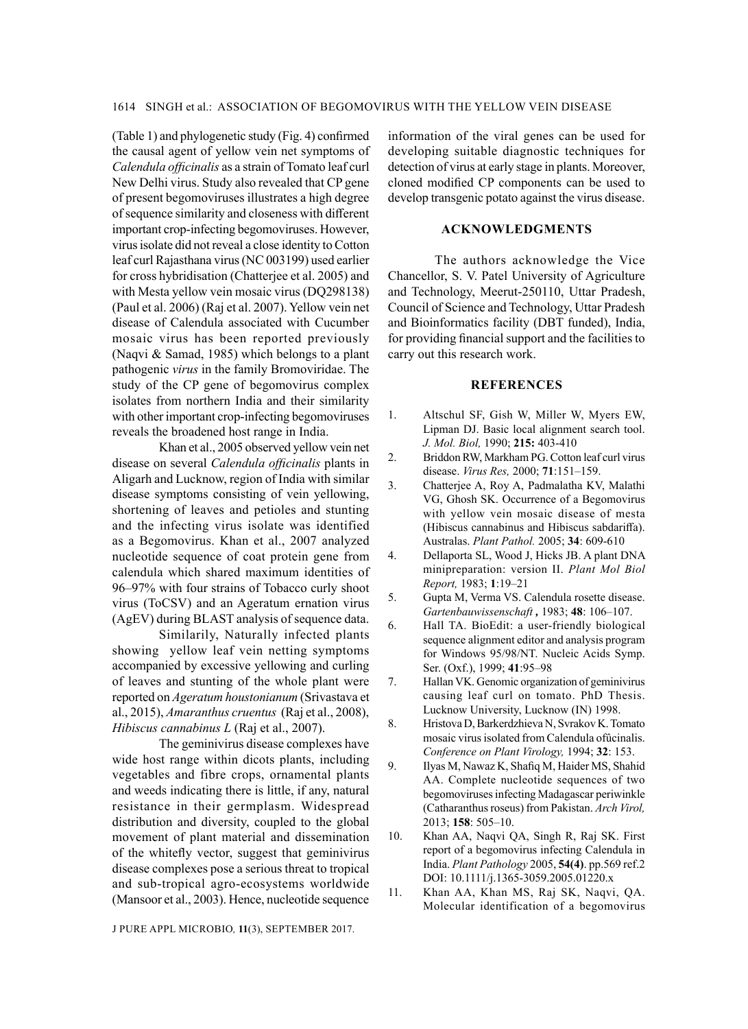(Table 1) and phylogenetic study (Fig. 4) confirmed the causal agent of yellow vein net symptoms of *Calendula officinalis* as a strain of Tomato leaf curl New Delhi virus. Study also revealed that CP gene of present begomoviruses illustrates a high degree of sequence similarity and closeness with different important crop-infecting begomoviruses. However, virus isolate did not reveal a close identity to Cotton leaf curl Rajasthana virus (NC 003199) used earlier for cross hybridisation (Chatterjee et al. 2005) and with Mesta yellow vein mosaic virus (DQ298138) (Paul et al. 2006) (Raj et al. 2007). Yellow vein net disease of Calendula associated with Cucumber mosaic virus has been reported previously (Naqvi & Samad, 1985) which belongs to a plant pathogenic *virus* in the family Bromoviridae. The study of the CP gene of begomovirus complex isolates from northern India and their similarity with other important crop-infecting begomoviruses reveals the broadened host range in India.

Khan et al., 2005 observed yellow vein net disease on several *Calendula officinalis* plants in Aligarh and Lucknow, region of India with similar disease symptoms consisting of vein yellowing, shortening of leaves and petioles and stunting and the infecting virus isolate was identified as a Begomovirus. Khan et al., 2007 analyzed nucleotide sequence of coat protein gene from calendula which shared maximum identities of 96–97% with four strains of Tobacco curly shoot virus (ToCSV) and an Ageratum ernation virus (AgEV) during BLAST analysis of sequence data.

Similarily, Naturally infected plants showing yellow leaf vein netting symptoms accompanied by excessive yellowing and curling of leaves and stunting of the whole plant were reported on *Ageratum houstonianum* (Srivastava et al., 2015), *Amaranthus cruentus* (Raj et al., 2008), *Hibiscus cannabinus L* (Raj et al., 2007).

The geminivirus disease complexes have wide host range within dicots plants, including vegetables and fibre crops, ornamental plants and weeds indicating there is little, if any, natural resistance in their germplasm. Widespread distribution and diversity, coupled to the global movement of plant material and dissemination of the whitefly vector, suggest that geminivirus disease complexes pose a serious threat to tropical and sub-tropical agro-ecosystems worldwide (Mansoor et al., 2003). Hence, nucleotide sequence

J PURE APPL MICROBIO*,* **11**(3), September 2017.

information of the viral genes can be used for developing suitable diagnostic techniques for detection of virus at early stage in plants. Moreover, cloned modified CP components can be used to develop transgenic potato against the virus disease.

# **Acknowledgments**

The authors acknowledge the Vice Chancellor, S. V. Patel University of Agriculture and Technology, Meerut-250110, Uttar Pradesh, Council of Science and Technology, Uttar Pradesh and Bioinformatics facility (DBT funded), India, for providing financial support and the facilities to carry out this research work.

## **References**

- 1. Altschul SF, Gish W, Miller W, Myers EW, Lipman DJ. Basic local alignment search tool. *J. Mol. Biol,* 1990; **215:** 403-410
- 2. Briddon RW, Markham PG. Cotton leaf curl virus disease. *Virus Res,* 2000; **71**:151–159.
- 3. Chatterjee A, Roy A, Padmalatha KV, Malathi VG, Ghosh SK. Occurrence of a Begomovirus with yellow vein mosaic disease of mesta (Hibiscus cannabinus and Hibiscus sabdariffa). Australas. *Plant Pathol.* 2005; **34**: 609-610
- 4. Dellaporta SL, Wood J, Hicks JB. A plant DNA minipreparation: version II. *Plant Mol Biol Report,* 1983; **1**:19–21
- 5. Gupta M, Verma VS. Calendula rosette disease. *Gartenbauwissenschaft ,* 1983; **48**: 106–107.
- 6. Hall TA. BioEdit: a user-friendly biological sequence alignment editor and analysis program for Windows 95/98/NT. Nucleic Acids Symp. Ser. (Oxf.), 1999; **41**:95–98
- 7. Hallan VK. Genomic organization of geminivirus causing leaf curl on tomato. PhD Thesis. Lucknow University, Lucknow (IN) 1998.
- 8. Hristova D, Barkerdzhieva N, Svrakov K. Tomato mosaic virus isolated from Calendula ofûcinalis. *Conference on Plant Virology,* 1994; **32**: 153.
- 9. Ilyas M, Nawaz K, Shafiq M, Haider MS, Shahid AA. Complete nucleotide sequences of two begomoviruses infecting Madagascar periwinkle (Catharanthus roseus) from Pakistan. *Arch Virol,*  2013; **158**: 505–10.
- 10. Khan AA, Naqvi QA, Singh R, Raj SK. First report of a begomovirus infecting Calendula in India. *Plant Pathology* 2005, **54(4)**. pp.569 ref.2 DOI: 10.1111/j.1365-3059.2005.01220.x
- 11. Khan AA, Khan MS, Raj SK, Naqvi, QA. Molecular identification of a begomovirus